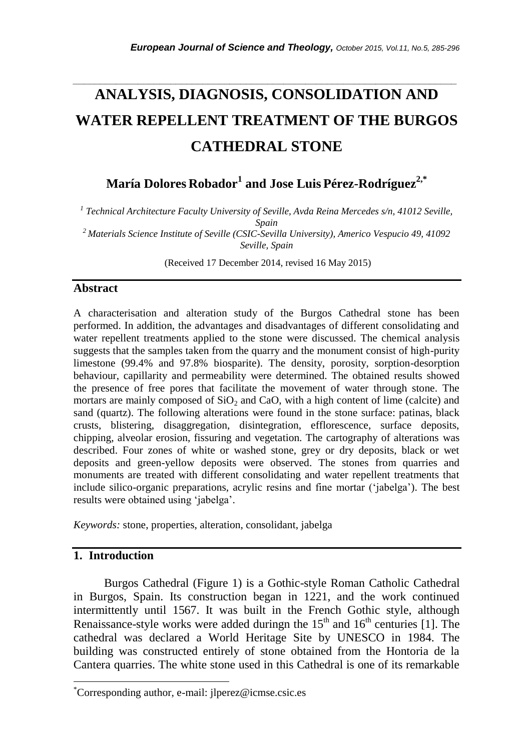# **ANALYSIS, DIAGNOSIS, CONSOLIDATION AND WATER REPELLENT TREATMENT OF THE BURGOS CATHEDRAL STONE**

*\_\_\_\_\_\_\_\_\_\_\_\_\_\_\_\_\_\_\_\_\_\_\_\_\_\_\_\_\_\_\_\_\_\_\_\_\_\_\_\_\_\_\_\_\_\_\_\_\_\_\_\_\_\_\_\_\_\_\_\_\_\_\_\_\_\_\_\_\_\_\_*

**María Dolores Robador<sup>1</sup> and Jose Luis Pérez-Rodríguez2,\***

*1 Technical Architecture Faculty University of Seville, Avda Reina Mercedes s/n, 41012 Seville, Spain*

*<sup>2</sup>Materials Science Institute of Seville (CSIC-Sevilla University), Americo Vespucio 49, 41092 Seville, Spain*

(Received 17 December 2014, revised 16 May 2015)

#### **Abstract**

A characterisation and alteration study of the Burgos Cathedral stone has been performed. In addition, the advantages and disadvantages of different consolidating and water repellent treatments applied to the stone were discussed. The chemical analysis suggests that the samples taken from the quarry and the monument consist of high-purity limestone (99.4% and 97.8% biosparite). The density, porosity, sorption-desorption behaviour, capillarity and permeability were determined. The obtained results showed the presence of free pores that facilitate the movement of water through stone. The mortars are mainly composed of  $SiO<sub>2</sub>$  and CaO, with a high content of lime (calcite) and sand (quartz). The following alterations were found in the stone surface: patinas, black crusts, blistering, disaggregation, disintegration, efflorescence, surface deposits, chipping, alveolar erosion, fissuring and vegetation. The cartography of alterations was described. Four zones of white or washed stone, grey or dry deposits, black or wet deposits and green-yellow deposits were observed. The stones from quarries and monuments are treated with different consolidating and water repellent treatments that include silico-organic preparations, acrylic resins and fine mortar ('jabelga'). The best results were obtained using 'jabelga'.

*Keywords:* stone, properties, alteration, consolidant, jabelga

# **1. Introduction**

l

Burgos Cathedral (Figure 1) is a Gothic-style Roman Catholic Cathedral in Burgos, Spain. Its construction began in 1221, and the work continued intermittently until 1567. It was built in the French Gothic style, although Renaissance-style works were added duringn the  $15<sup>th</sup>$  and  $16<sup>th</sup>$  centuries [1]. The cathedral was declared a World Heritage Site by UNESCO in 1984. The building was constructed entirely of stone obtained from the Hontoria de la Cantera quarries. The white stone used in this Cathedral is one of its remarkable

<sup>\*</sup>Corresponding author, e-mail: jlperez@icmse.csic.es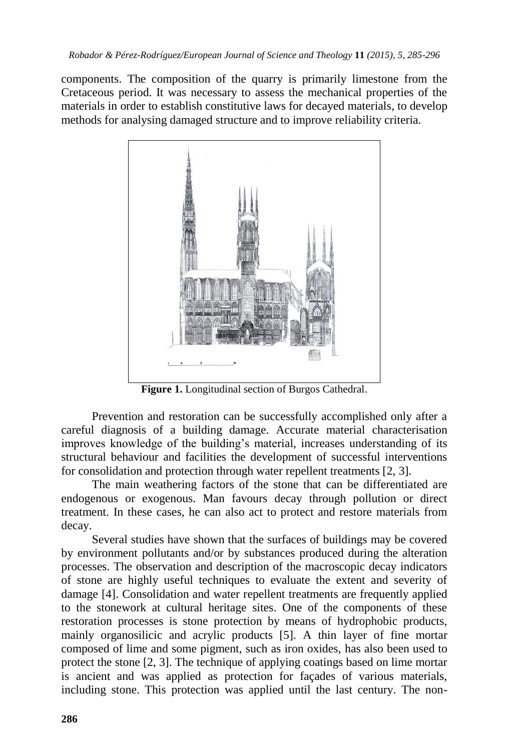components. The composition of the quarry is primarily limestone from the Cretaceous period. It was necessary to assess the mechanical properties of the materials in order to establish constitutive laws for decayed materials, to develop methods for analysing damaged structure and to improve reliability criteria.



**Figure 1.** Longitudinal section of Burgos Cathedral.

Prevention and restoration can be successfully accomplished only after a careful diagnosis of a building damage. Accurate material characterisation improves knowledge of the building's material, increases understanding of its structural behaviour and facilities the development of successful interventions for consolidation and protection through water repellent treatments [2, 3].

The main weathering factors of the stone that can be differentiated are endogenous or exogenous. Man favours decay through pollution or direct treatment. In these cases, he can also act to protect and restore materials from decay.

Several studies have shown that the surfaces of buildings may be covered by environment pollutants and/or by substances produced during the alteration processes. The observation and description of the macroscopic decay indicators of stone are highly useful techniques to evaluate the extent and severity of damage [4]. Consolidation and water repellent treatments are frequently applied to the stonework at cultural heritage sites. One of the components of these restoration processes is stone protection by means of hydrophobic products, mainly organosilicic and acrylic products [5]. A thin layer of fine mortar composed of lime and some pigment, such as iron oxides, has also been used to protect the stone [2, 3]. The technique of applying coatings based on lime mortar is ancient and was applied as protection for façades of various materials, including stone. This protection was applied until the last century. The non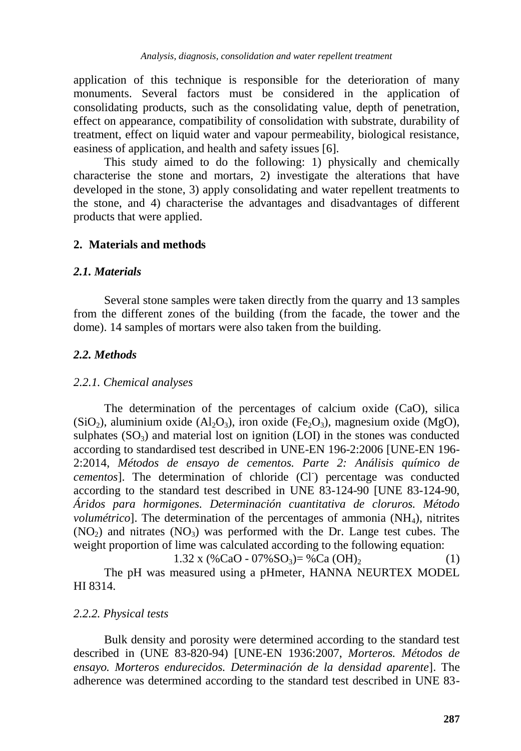application of this technique is responsible for the deterioration of many monuments. Several factors must be considered in the application of consolidating products, such as the consolidating value, depth of penetration, effect on appearance, compatibility of consolidation with substrate, durability of treatment, effect on liquid water and vapour permeability, biological resistance, easiness of application, and health and safety issues [6].

This study aimed to do the following: 1) physically and chemically characterise the stone and mortars, 2) investigate the alterations that have developed in the stone, 3) apply consolidating and water repellent treatments to the stone, and 4) characterise the advantages and disadvantages of different products that were applied.

# **2. Materials and methods**

#### *2.1. Materials*

Several stone samples were taken directly from the quarry and 13 samples from the different zones of the building (from the facade, the tower and the dome). 14 samples of mortars were also taken from the building.

# *2.2. Methods*

#### *2.2.1. Chemical analyses*

The determination of the percentages of calcium oxide (CaO), silica (SiO<sub>2</sub>), aluminium oxide (Al<sub>2</sub>O<sub>3</sub>), iron oxide (Fe<sub>2</sub>O<sub>3</sub>), magnesium oxide (MgO), sulphates  $(SO_3)$  and material lost on ignition (LOI) in the stones was conducted according to standardised test described in UNE-EN 196-2:2006 [UNE-EN 196- 2:2014, *Métodos de ensayo de cementos. Parte 2: Análisis químico de*  cementos]. The determination of chloride (Cl<sup>-</sup>) percentage was conducted according to the standard test described in UNE 83-124-90 [UNE 83-124-90, *Áridos para hormigones. Determinación cuantitativa de cloruros. Método volumétrico*]. The determination of the percentages of ammonia (NH<sub>4</sub>), nitrites  $(NO<sub>2</sub>)$  and nitrates  $(NO<sub>3</sub>)$  was performed with the Dr. Lange test cubes. The weight proportion of lime was calculated according to the following equation:

1.32 x (%CaO - 07%SO<sub>3</sub>)= %Ca (OH)<sub>2</sub> (1) The pH was measured using a pHmeter, HANNA NEURTEX MODEL HI 8314.

# *2.2.2. Physical tests*

Bulk density and porosity were determined according to the standard test described in (UNE 83-820-94) [UNE-EN 1936:2007, *Morteros. Métodos de ensayo. Morteros endurecidos. Determinación de la densidad aparente*]. The adherence was determined according to the standard test described in UNE 83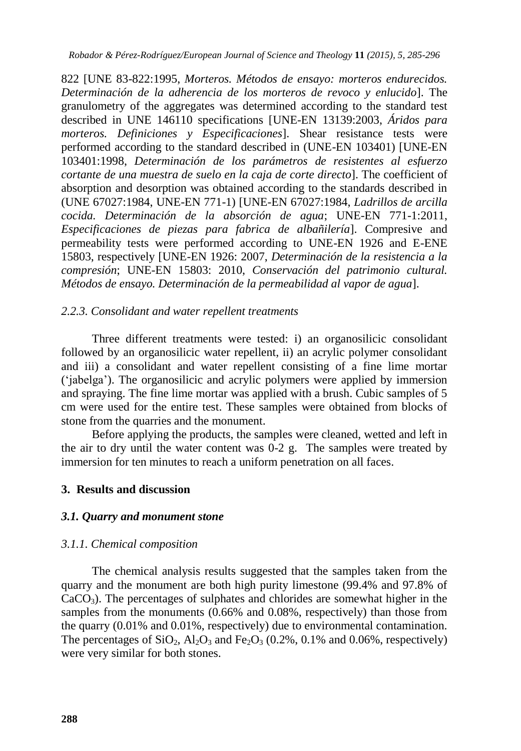*Robador & Pérez-Rodríguez/European Journal of Science and Theology* **11** *(2015), 5, 285-296*

822 [UNE 83-822:1995, *Morteros. Métodos de ensayo: morteros endurecidos. Determinación de la adherencia de los morteros de revoco y enlucido*]. The granulometry of the aggregates was determined according to the standard test described in UNE 146110 specifications [UNE-EN 13139:2003, *Áridos para morteros. Definiciones y Especificaciones*]. Shear resistance tests were performed according to the standard described in (UNE-EN 103401) [UNE-EN 103401:1998, *Determinación de los parámetros de resistentes al esfuerzo cortante de una muestra de suelo en la caja de corte directo*]. The coefficient of absorption and desorption was obtained according to the standards described in (UNE 67027:1984, UNE-EN 771-1) [UNE-EN 67027:1984, *Ladrillos de arcilla cocida. Determinación de la absorción de agua*; UNE-EN 771-1:2011, *Especificaciones de piezas para fabrica de albañilería*]. Compresive and permeability tests were performed according to UNE-EN 1926 and E-ENE 15803, respectively [UNE-EN 1926: 2007, *Determinación de la resistencia a la compresión*; UNE-EN 15803: 2010, *Conservación del patrimonio cultural. Métodos de ensayo. Determinación de la permeabilidad al vapor de agua*].

# *2.2.3. Consolidant and water repellent treatments*

Three different treatments were tested: i) an organosilicic consolidant followed by an organosilicic water repellent, ii) an acrylic polymer consolidant and iii) a consolidant and water repellent consisting of a fine lime mortar ('jabelga'). The organosilicic and acrylic polymers were applied by immersion and spraying. The fine lime mortar was applied with a brush. Cubic samples of 5 cm were used for the entire test. These samples were obtained from blocks of stone from the quarries and the monument.

Before applying the products, the samples were cleaned, wetted and left in the air to dry until the water content was 0-2 g. The samples were treated by immersion for ten minutes to reach a uniform penetration on all faces.

# **3. Results and discussion**

# *3.1. Quarry and monument stone*

# *3.1.1. Chemical composition*

The chemical analysis results suggested that the samples taken from the quarry and the monument are both high purity limestone (99.4% and 97.8% of  $CaCO<sub>3</sub>$ ). The percentages of sulphates and chlorides are somewhat higher in the samples from the monuments (0.66% and 0.08%, respectively) than those from the quarry (0.01% and 0.01%, respectively) due to environmental contamination. The percentages of  $SiO_2$ ,  $Al_2O_3$  and  $Fe_2O_3$  (0.2%, 0.1% and 0.06%, respectively) were very similar for both stones.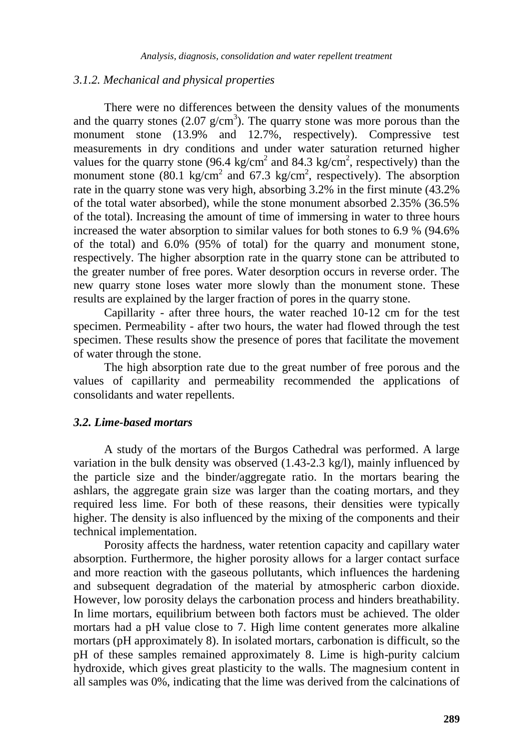#### *3.1.2. Mechanical and physical properties*

There were no differences between the density values of the monuments and the quarry stones  $(2.07 \text{ g/cm}^3)$ . The quarry stone was more porous than the monument stone (13.9% and 12.7%, respectively). Compressive test measurements in dry conditions and under water saturation returned higher values for the quarry stone (96.4 kg/cm<sup>2</sup> and 84.3 kg/cm<sup>2</sup>, respectively) than the monument stone (80.1 kg/cm<sup>2</sup> and 67.3 kg/cm<sup>2</sup>, respectively). The absorption rate in the quarry stone was very high, absorbing 3.2% in the first minute (43.2% of the total water absorbed), while the stone monument absorbed 2.35% (36.5% of the total). Increasing the amount of time of immersing in water to three hours increased the water absorption to similar values for both stones to 6.9 % (94.6% of the total) and 6.0% (95% of total) for the quarry and monument stone, respectively. The higher absorption rate in the quarry stone can be attributed to the greater number of free pores. Water desorption occurs in reverse order. The new quarry stone loses water more slowly than the monument stone. These results are explained by the larger fraction of pores in the quarry stone.

Capillarity - after three hours, the water reached 10-12 cm for the test specimen. Permeability - after two hours, the water had flowed through the test specimen. These results show the presence of pores that facilitate the movement of water through the stone.

The high absorption rate due to the great number of free porous and the values of capillarity and permeability recommended the applications of consolidants and water repellents.

#### *3.2. Lime-based mortars*

A study of the mortars of the Burgos Cathedral was performed. A large variation in the bulk density was observed (1.43-2.3 kg/l), mainly influenced by the particle size and the binder/aggregate ratio. In the mortars bearing the ashlars, the aggregate grain size was larger than the coating mortars, and they required less lime. For both of these reasons, their densities were typically higher. The density is also influenced by the mixing of the components and their technical implementation.

Porosity affects the hardness, water retention capacity and capillary water absorption. Furthermore, the higher porosity allows for a larger contact surface and more reaction with the gaseous pollutants, which influences the hardening and subsequent degradation of the material by atmospheric carbon dioxide. However, low porosity delays the carbonation process and hinders breathability. In lime mortars, equilibrium between both factors must be achieved. The older mortars had a pH value close to 7. High lime content generates more alkaline mortars (pH approximately 8). In isolated mortars, carbonation is difficult, so the pH of these samples remained approximately 8. Lime is high-purity calcium hydroxide, which gives great plasticity to the walls. The magnesium content in all samples was 0%, indicating that the lime was derived from the calcinations of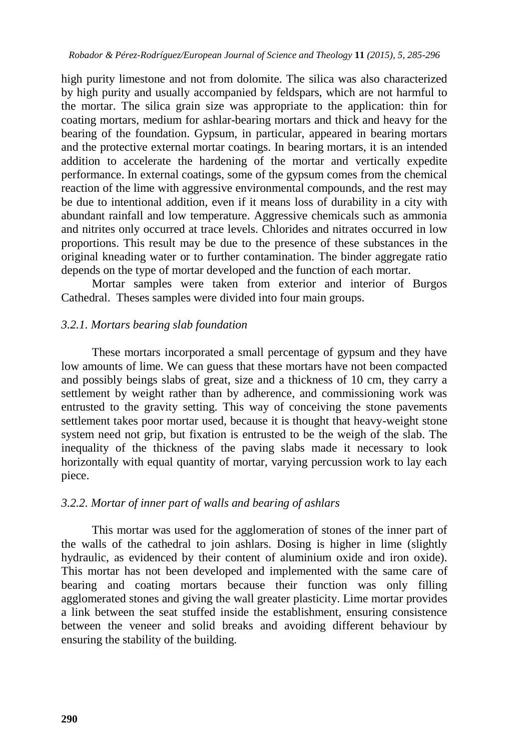high purity limestone and not from dolomite. The silica was also characterized by high purity and usually accompanied by feldspars, which are not harmful to the mortar. The silica grain size was appropriate to the application: thin for coating mortars, medium for ashlar-bearing mortars and thick and heavy for the bearing of the foundation. Gypsum, in particular, appeared in bearing mortars and the protective external mortar coatings. In bearing mortars, it is an intended addition to accelerate the hardening of the mortar and vertically expedite performance. In external coatings, some of the gypsum comes from the chemical reaction of the lime with aggressive environmental compounds, and the rest may be due to intentional addition, even if it means loss of durability in a city with abundant rainfall and low temperature. Aggressive chemicals such as ammonia and nitrites only occurred at trace levels. Chlorides and nitrates occurred in low proportions. This result may be due to the presence of these substances in the original kneading water or to further contamination. The binder aggregate ratio depends on the type of mortar developed and the function of each mortar.

Mortar samples were taken from exterior and interior of Burgos Cathedral. Theses samples were divided into four main groups.

# *3.2.1. Mortars bearing slab foundation*

These mortars incorporated a small percentage of gypsum and they have low amounts of lime. We can guess that these mortars have not been compacted and possibly beings slabs of great, size and a thickness of 10 cm, they carry a settlement by weight rather than by adherence, and commissioning work was entrusted to the gravity setting. This way of conceiving the stone pavements settlement takes poor mortar used, because it is thought that heavy-weight stone system need not grip, but fixation is entrusted to be the weigh of the slab. The inequality of the thickness of the paving slabs made it necessary to look horizontally with equal quantity of mortar, varying percussion work to lay each piece.

# *3.2.2. Mortar of inner part of walls and bearing of ashlars*

This mortar was used for the agglomeration of stones of the inner part of the walls of the cathedral to join ashlars. Dosing is higher in lime (slightly hydraulic, as evidenced by their content of aluminium oxide and iron oxide). This mortar has not been developed and implemented with the same care of bearing and coating mortars because their function was only filling agglomerated stones and giving the wall greater plasticity. Lime mortar provides a link between the seat stuffed inside the establishment, ensuring consistence between the veneer and solid breaks and avoiding different behaviour by ensuring the stability of the building.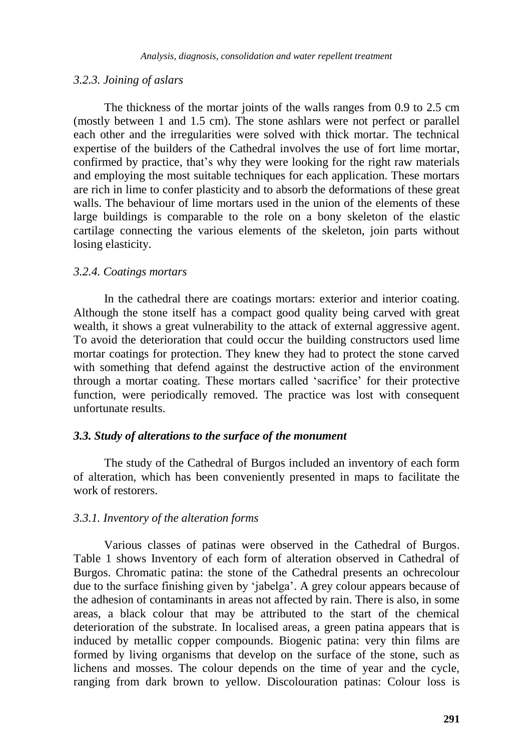### *3.2.3. Joining of aslars*

The thickness of the mortar joints of the walls ranges from 0.9 to 2.5 cm (mostly between 1 and 1.5 cm). The stone ashlars were not perfect or parallel each other and the irregularities were solved with thick mortar. The technical expertise of the builders of the Cathedral involves the use of fort lime mortar, confirmed by practice, that's why they were looking for the right raw materials and employing the most suitable techniques for each application. These mortars are rich in lime to confer plasticity and to absorb the deformations of these great walls. The behaviour of lime mortars used in the union of the elements of these large buildings is comparable to the role on a bony skeleton of the elastic cartilage connecting the various elements of the skeleton, join parts without losing elasticity.

# *3.2.4. Coatings mortars*

In the cathedral there are coatings mortars: exterior and interior coating. Although the stone itself has a compact good quality being carved with great wealth, it shows a great vulnerability to the attack of external aggressive agent. To avoid the deterioration that could occur the building constructors used lime mortar coatings for protection. They knew they had to protect the stone carved with something that defend against the destructive action of the environment through a mortar coating. These mortars called 'sacrifice' for their protective function, were periodically removed. The practice was lost with consequent unfortunate results.

# *3.3. Study of alterations to the surface of the monument*

The study of the Cathedral of Burgos included an inventory of each form of alteration, which has been conveniently presented in maps to facilitate the work of restorers.

# *3.3.1. Inventory of the alteration forms*

Various classes of patinas were observed in the Cathedral of Burgos. Table 1 shows Inventory of each form of alteration observed in Cathedral of Burgos. Chromatic patina: the stone of the Cathedral presents an ochrecolour due to the surface finishing given by 'jabelga'. A grey colour appears because of the adhesion of contaminants in areas not affected by rain. There is also, in some areas, a black colour that may be attributed to the start of the chemical deterioration of the substrate. In localised areas, a green patina appears that is induced by metallic copper compounds. Biogenic patina: very thin films are formed by living organisms that develop on the surface of the stone, such as lichens and mosses. The colour depends on the time of year and the cycle, ranging from dark brown to yellow. Discolouration patinas: Colour loss is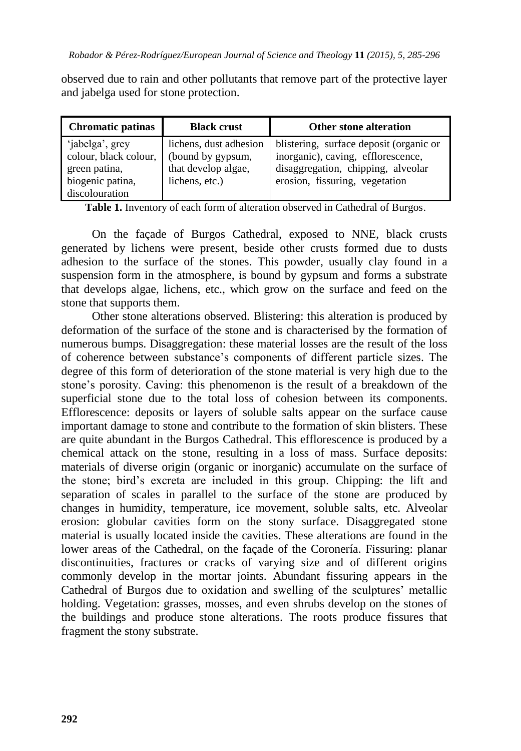observed due to rain and other pollutants that remove part of the protective layer and jabelga used for stone protection.

| <b>Chromatic patinas</b> | <b>Black crust</b>     | <b>Other stone alteration</b>           |
|--------------------------|------------------------|-----------------------------------------|
| 'jabelga', grey          | lichens, dust adhesion | blistering, surface deposit (organic or |
| colour, black colour,    | (bound by gypsum,      | inorganic), caving, efflorescence,      |
| green patina,            | that develop algae,    | disaggregation, chipping, alveolar      |
| biogenic patina,         | lichens, etc.)         | erosion, fissuring, vegetation          |
| discolouration           |                        |                                         |

**Table 1.** Inventory of each form of alteration observed in Cathedral of Burgos.

On the façade of Burgos Cathedral, exposed to NNE, black crusts generated by lichens were present, beside other crusts formed due to dusts adhesion to the surface of the stones. This powder, usually clay found in a suspension form in the atmosphere, is bound by gypsum and forms a substrate that develops algae, lichens, etc., which grow on the surface and feed on the stone that supports them.

Other stone alterations observed*.* Blistering: this alteration is produced by deformation of the surface of the stone and is characterised by the formation of numerous bumps. Disaggregation: these material losses are the result of the loss of coherence between substance's components of different particle sizes. The degree of this form of deterioration of the stone material is very high due to the stone's porosity. Caving: this phenomenon is the result of a breakdown of the superficial stone due to the total loss of cohesion between its components. Efflorescence: deposits or layers of soluble salts appear on the surface cause important damage to stone and contribute to the formation of skin blisters. These are quite abundant in the Burgos Cathedral. This efflorescence is produced by a chemical attack on the stone, resulting in a loss of mass. Surface deposits: materials of diverse origin (organic or inorganic) accumulate on the surface of the stone; bird's excreta are included in this group. Chipping: the lift and separation of scales in parallel to the surface of the stone are produced by changes in humidity, temperature, ice movement, soluble salts, etc. Alveolar erosion: globular cavities form on the stony surface. Disaggregated stone material is usually located inside the cavities. These alterations are found in the lower areas of the Cathedral, on the façade of the Coronería. Fissuring: planar discontinuities, fractures or cracks of varying size and of different origins commonly develop in the mortar joints. Abundant fissuring appears in the Cathedral of Burgos due to oxidation and swelling of the sculptures' metallic holding. Vegetation: grasses, mosses, and even shrubs develop on the stones of the buildings and produce stone alterations. The roots produce fissures that fragment the stony substrate.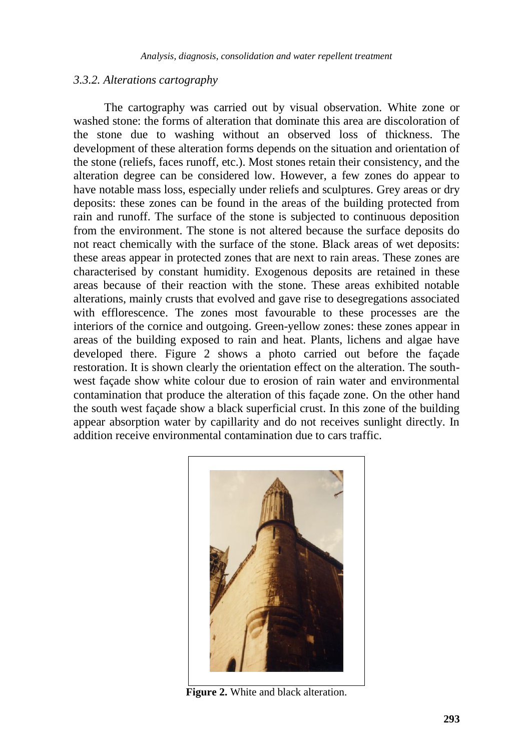#### *3.3.2. Alterations cartography*

The cartography was carried out by visual observation*.* White zone or washed stone: the forms of alteration that dominate this area are discoloration of the stone due to washing without an observed loss of thickness. The development of these alteration forms depends on the situation and orientation of the stone (reliefs, faces runoff, etc.). Most stones retain their consistency, and the alteration degree can be considered low. However, a few zones do appear to have notable mass loss, especially under reliefs and sculptures. Grey areas or dry deposits: these zones can be found in the areas of the building protected from rain and runoff. The surface of the stone is subjected to continuous deposition from the environment. The stone is not altered because the surface deposits do not react chemically with the surface of the stone. Black areas of wet deposits: these areas appear in protected zones that are next to rain areas. These zones are characterised by constant humidity. Exogenous deposits are retained in these areas because of their reaction with the stone. These areas exhibited notable alterations, mainly crusts that evolved and gave rise to desegregations associated with efflorescence. The zones most favourable to these processes are the interiors of the cornice and outgoing. Green-yellow zones: these zones appear in areas of the building exposed to rain and heat. Plants, lichens and algae have developed there. Figure 2 shows a photo carried out before the façade restoration. It is shown clearly the orientation effect on the alteration. The southwest façade show white colour due to erosion of rain water and environmental contamination that produce the alteration of this façade zone. On the other hand the south west façade show a black superficial crust. In this zone of the building appear absorption water by capillarity and do not receives sunlight directly. In addition receive environmental contamination due to cars traffic.



**Figure 2.** White and black alteration.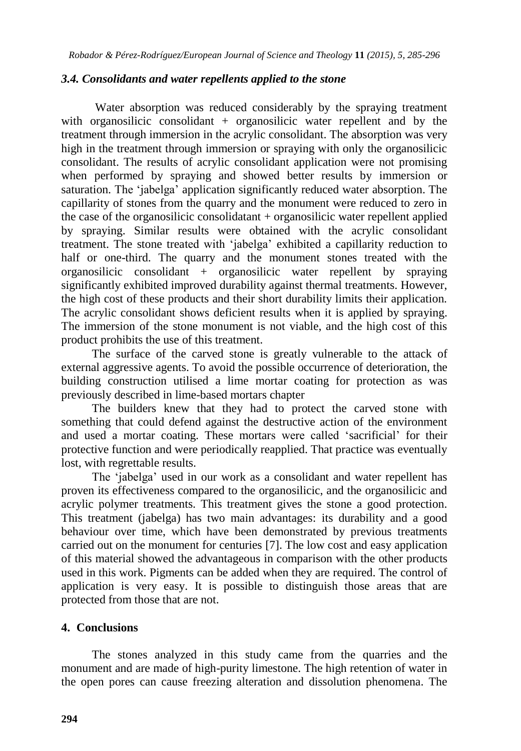# *3.4. Consolidants and water repellents applied to the stone*

Water absorption was reduced considerably by the spraying treatment with organosilicic consolidant + organosilicic water repellent and by the treatment through immersion in the acrylic consolidant. The absorption was very high in the treatment through immersion or spraying with only the organosilicic consolidant. The results of acrylic consolidant application were not promising when performed by spraying and showed better results by immersion or saturation. The 'jabelga' application significantly reduced water absorption. The capillarity of stones from the quarry and the monument were reduced to zero in the case of the organosilicic consolidatant  $+$  organosilicic water repellent applied by spraying. Similar results were obtained with the acrylic consolidant treatment. The stone treated with 'jabelga' exhibited a capillarity reduction to half or one-third. The quarry and the monument stones treated with the organosilicic consolidant + organosilicic water repellent by spraying significantly exhibited improved durability against thermal treatments. However, the high cost of these products and their short durability limits their application. The acrylic consolidant shows deficient results when it is applied by spraying. The immersion of the stone monument is not viable, and the high cost of this product prohibits the use of this treatment.

The surface of the carved stone is greatly vulnerable to the attack of external aggressive agents. To avoid the possible occurrence of deterioration, the building construction utilised a lime mortar coating for protection as was previously described in lime-based mortars chapter

The builders knew that they had to protect the carved stone with something that could defend against the destructive action of the environment and used a mortar coating. These mortars were called 'sacrificial' for their protective function and were periodically reapplied. That practice was eventually lost, with regrettable results.

The 'jabelga' used in our work as a consolidant and water repellent has proven its effectiveness compared to the organosilicic, and the organosilicic and acrylic polymer treatments. This treatment gives the stone a good protection. This treatment (jabelga) has two main advantages: its durability and a good behaviour over time, which have been demonstrated by previous treatments carried out on the monument for centuries [7]. The low cost and easy application of this material showed the advantageous in comparison with the other products used in this work. Pigments can be added when they are required. The control of application is very easy. It is possible to distinguish those areas that are protected from those that are not.

# **4. Conclusions**

The stones analyzed in this study came from the quarries and the monument and are made of high-purity limestone. The high retention of water in the open pores can cause freezing alteration and dissolution phenomena. The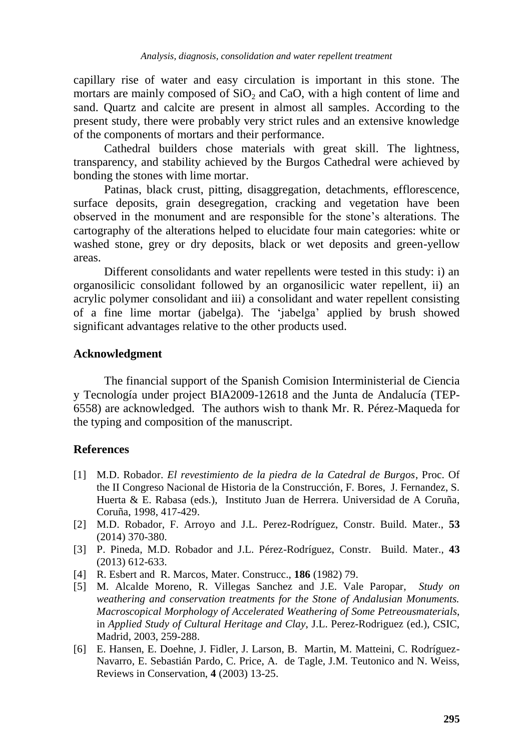capillary rise of water and easy circulation is important in this stone. The mortars are mainly composed of  $SiO<sub>2</sub>$  and CaO, with a high content of lime and sand. Quartz and calcite are present in almost all samples. According to the present study, there were probably very strict rules and an extensive knowledge of the components of mortars and their performance.

Cathedral builders chose materials with great skill. The lightness, transparency, and stability achieved by the Burgos Cathedral were achieved by bonding the stones with lime mortar.

Patinas, black crust, pitting, disaggregation, detachments, efflorescence, surface deposits, grain desegregation, cracking and vegetation have been observed in the monument and are responsible for the stone's alterations. The cartography of the alterations helped to elucidate four main categories: white or washed stone, grey or dry deposits, black or wet deposits and green-yellow areas.

Different consolidants and water repellents were tested in this study: i) an organosilicic consolidant followed by an organosilicic water repellent, ii) an acrylic polymer consolidant and iii) a consolidant and water repellent consisting of a fine lime mortar (jabelga). The 'jabelga' applied by brush showed significant advantages relative to the other products used.

# **Acknowledgment**

The financial support of the Spanish Comision Interministerial de Ciencia y Tecnología under project BIA2009-12618 and the Junta de Andalucía (TEP-6558) are acknowledged. The authors wish to thank Mr. R. Pérez-Maqueda for the typing and composition of the manuscript.

# **References**

- [1] M.D. Robador. *El revestimiento de la piedra de la Catedral de Burgos*, Proc. Of the II Congreso Nacional de Historia de la Construcción, F. Bores, J. Fernandez, S. Huerta & E. Rabasa (eds.), Instituto Juan de Herrera. Universidad de A Coruña, Coruña, 1998, 417-429.
- [2] M.D. Robador, F. Arroyo and J.L. Perez-Rodríguez, Constr. Build. Mater., **53** (2014) 370-380.
- [3] P. Pineda, M.D. Robador and J.L. Pérez-Rodríguez, Constr. Build. Mater., **43** (2013) 612-633.
- [4] R. Esbert and R. Marcos, Mater. Construcc., **186** (1982) 79.
- [5] M. Alcalde Moreno, R. Villegas Sanchez and J.E. Vale Paropar, *Study on weathering and conservation treatments for the Stone of Andalusian Monuments. Macroscopical Morphology of Accelerated Weathering of Some Petreousmaterials*, in *Applied Study of Cultural Heritage and Clay*, J.L. Perez-Rodriguez (ed.), CSIC, Madrid, 2003, 259-288.
- [6] E. Hansen, E. Doehne, J. Fidler, J. Larson, B. Martin, M. Matteini, C. Rodríguez-Navarro, E. Sebastián Pardo, C. Price, A. de Tagle, J.M. Teutonico and N. Weiss, Reviews in Conservation, **4** (2003) 13-25.